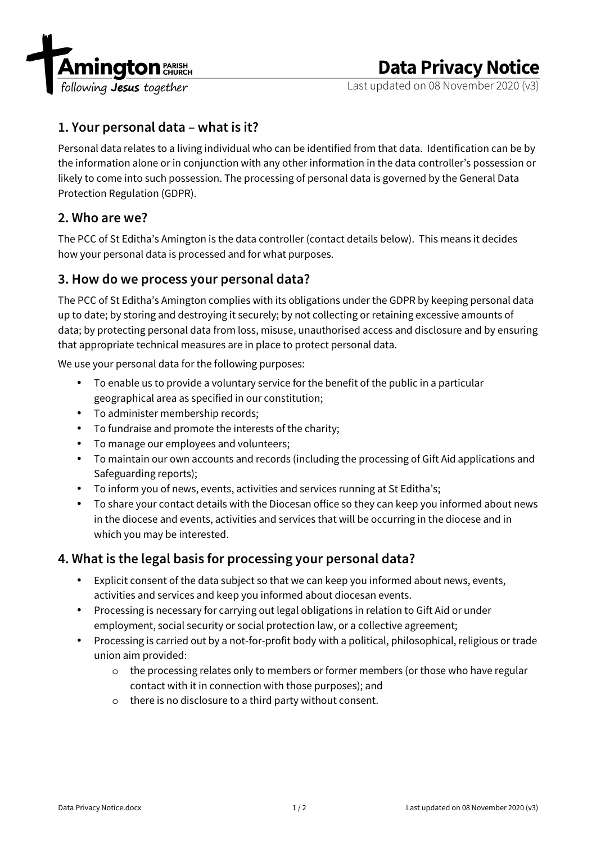

# **Data Privacy Notice**

Last updated on 08 November 2020 (v3)

## **1. Your personal data – what is it?**

Personal data relates to a living individual who can be identified from that data. Identification can be by the information alone or in conjunction with any other information in the data controller's possession or likely to come into such possession. The processing of personal data is governed by the General Data Protection Regulation (GDPR).

### **2. Who are we?**

The PCC of St Editha's Amington is the data controller (contact details below). This means it decides how your personal data is processed and for what purposes.

#### **3. How do we process your personal data?**

The PCC of St Editha's Amington complies with its obligations under the GDPR by keeping personal data up to date; by storing and destroying it securely; by not collecting or retaining excessive amounts of data; by protecting personal data from loss, misuse, unauthorised access and disclosure and by ensuring that appropriate technical measures are in place to protect personal data.

We use your personal data for the following purposes:

- To enable us to provide a voluntary service for the benefit of the public in a particular geographical area as specified in our constitution;
- To administer membership records;
- To fundraise and promote the interests of the charity;
- To manage our employees and volunteers;
- To maintain our own accounts and records (including the processing of Gift Aid applications and Safeguarding reports);
- To inform you of news, events, activities and services running at St Editha's;
- To share your contact details with the Diocesan office so they can keep you informed about news in the diocese and events, activities and services that will be occurring in the diocese and in which you may be interested.

#### **4. What is the legal basis for processing your personal data?**

- Explicit consent of the data subject so that we can keep you informed about news, events, activities and services and keep you informed about diocesan events.
- Processing is necessary for carrying out legal obligations in relation to Gift Aid or under employment, social security or social protection law, or a collective agreement;
- Processing is carried out by a not-for-profit body with a political, philosophical, religious or trade union aim provided:
	- o the processing relates only to members or former members (or those who have regular contact with it in connection with those purposes); and
	- o there is no disclosure to a third party without consent.